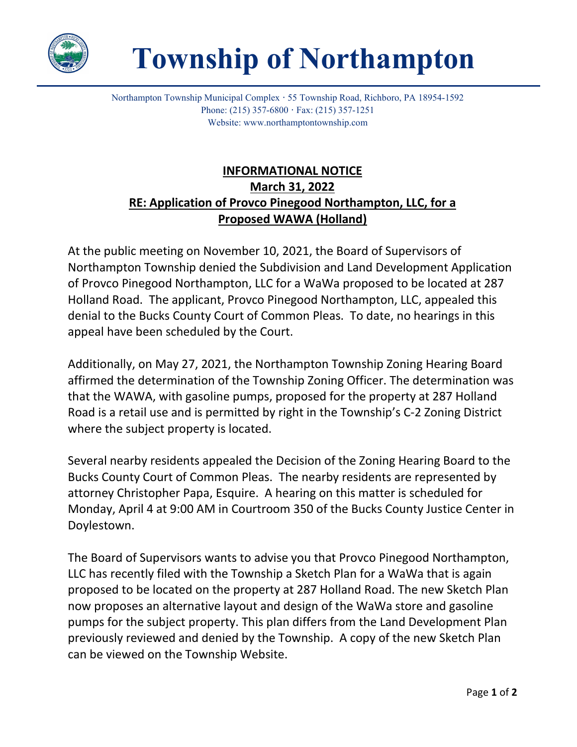

## **Township of Northampton**

Northampton Township Municipal Complex **·** 55 Township Road, Richboro, PA 18954-1592 Phone: (215) 357-6800 **·** Fax: (215) 357-1251 Website: www.northamptontownship.com

## **INFORMATIONAL NOTICE March 31, 2022 RE: Application of Provco Pinegood Northampton, LLC, for a Proposed WAWA (Holland)**

At the public meeting on November 10, 2021, the Board of Supervisors of Northampton Township denied the Subdivision and Land Development Application of Provco Pinegood Northampton, LLC for a WaWa proposed to be located at 287 Holland Road. The applicant, Provco Pinegood Northampton, LLC, appealed this denial to the Bucks County Court of Common Pleas. To date, no hearings in this appeal have been scheduled by the Court.

Additionally, on May 27, 2021, the Northampton Township Zoning Hearing Board affirmed the determination of the Township Zoning Officer. The determination was that the WAWA, with gasoline pumps, proposed for the property at 287 Holland Road is a retail use and is permitted by right in the Township's C-2 Zoning District where the subject property is located.

Several nearby residents appealed the Decision of the Zoning Hearing Board to the Bucks County Court of Common Pleas. The nearby residents are represented by attorney Christopher Papa, Esquire. A hearing on this matter is scheduled for Monday, April 4 at 9:00 AM in Courtroom 350 of the Bucks County Justice Center in Doylestown.

The Board of Supervisors wants to advise you that Provco Pinegood Northampton, LLC has recently filed with the Township a Sketch Plan for a WaWa that is again proposed to be located on the property at 287 Holland Road. The new Sketch Plan now proposes an alternative layout and design of the WaWa store and gasoline pumps for the subject property. This plan differs from the Land Development Plan previously reviewed and denied by the Township. A copy of the new Sketch Plan can be viewed on the Township Website.